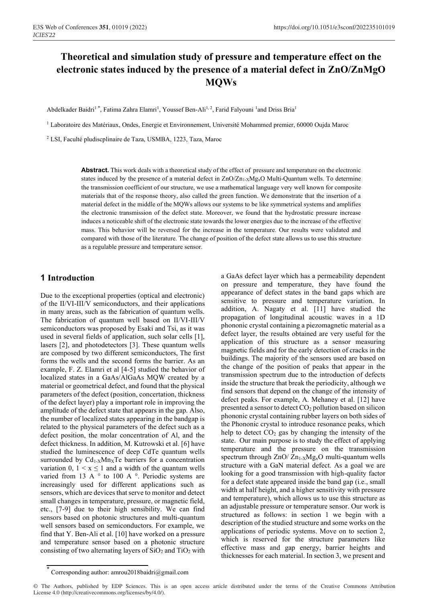# **Theoretical and simulation study of pressure and temperature effect on the electronic states induced by the presence of a material defect in ZnO/ZnMgO MQWs**

Abdelkader Baidri<sup>1</sup>\*, Fatima Zahra Elamri<sup>1</sup>, Youssef Ben-Ali<sup>1, 2</sup>, Farid Falyouni<sup>1</sup> and Driss Bria<sup>1</sup>

<sup>1</sup> Laboratoire des Matériaux, Ondes, Energie et Environnement, Université Mohammed premier, 60000 Oujda Maroc

<sup>2</sup> LSI, Faculté pludiscplinaire de Taza, USMBA, 1223, Taza, Maroc

**Abstract.** This work deals with a theoretical study of the effect of pressure and temperature on the electronic states induced by the presence of a material defect in  $ZnO/Zn_1 \times Mg_2O$  Multi-Quantum wells. To determine the transmission coefficient of our structure, we use a mathematical language very well known for composite materials that of the response theory, also called the green function. We demonstrate that the insertion of a material defect in the middle of the MQWs allows our systems to be like symmetrical systems and amplifies the electronic transmission of the defect state. Moreover, we found that the hydrostatic pressure increase induces a noticeable shift of the electronic state towards the lower energies due to the increase of the effective mass. This behavior will be reversed for the increase in the temperature. Our results were validated and compared with those of the literature. The change of position of the defect state allows us to use this structure as a regulable pressure and temperature sensor.

#### **1 Introduction**

Due to the exceptional properties (optical and electronic) of the II/VI-III/V semiconductors, and their applications in many areas, such as the fabrication of quantum wells. The fabrication of quantum well based on II/VI-III/V semiconductors was proposed by Esaki and Tsi, as it was used in several fields of application, such solar cells [1], lasers [2], and photodetectors [3]. These quantum wells are composed by two different semiconductors, The first forms the wells and the second forms the barrier. As an example, F. Z. Elamri et al [4-5] studied the behavior of localized states in a GaAs/AlGaAs MQW created by a material or geometrical defect, and found that the physical parameters of the defect (position, concertation, thickness of the defect layer) play a important role in improving the amplitude of the defect state that appears in the gap. Also, the number of localized states appearing in the bandgap is related to the physical parameters of the defect such as a defect position, the molar concentration of Al, and the defect thickness. In addition, M. Kutrowski et al. [6] have studied the luminescence of deep CdTe quantum wells surrounded by Cd<sub>1-X</sub>Mn<sub>X</sub>Te barriers for a concentration variation 0,  $1 \le x \le 1$  and a width of the quantum wells varied from 13 A  $\degree$  to 100 A  $\degree$ . Periodic systems are increasingly used for different applications such as sensors, which are devices that serve to monitor and detect small changes in temperature, pressure, or magnetic field, etc., [7-9] due to their high sensibility. We can find sensors based on photonic structures and multi-quantum well sensors based on semiconductors. For example, we find that Y. Ben-Ali et al. [10] have worked on a pressure and temperature sensor based on a photonic structure consisting of two alternating layers of  $SiO<sub>2</sub>$  and  $TiO<sub>2</sub>$  with a GaAs defect layer which has a permeability dependent on pressure and temperature, they have found the appearance of defect states in the band gaps which are sensitive to pressure and temperature variation. In addition, A. Nagaty et al. [11] have studied the propagation of longitudinal acoustic waves in a 1D phononic crystal containing a piezomagnetic material as a defect layer, the results obtained are very useful for the application of this structure as a sensor measuring magnetic fields and for the early detection of cracks in the buildings. The majority of the sensors used are based on the change of the position of peaks that appear in the transmission spectrum due to the introduction of defects inside the structure that break the periodicity, although we find sensors that depend on the change of the intensity of defect peaks. For example, A. Mehaney et al. [12] have presented a sensor to detect CO2 pollution based on silicon phononic crystal containing rubber layers on both sides of the Phononic crystal to introduce resonance peaks, which help to detect  $CO<sub>2</sub>$  gas by changing the intensity of the state. Our main purpose is to study the effect of applying temperature and the pressure on the transmission spectrum through  $ZnO/Zn_{1-X}Mg_xO$  multi-quantum wells structure with a GaN material defect. As a goal we are looking for a good transmission with high-quality factor for a defect state appeared inside the band gap (i.e., small width at half height, and a higher sensitivity with pressure and temperature), which allows us to use this structure as an adjustable pressure or temperature sensor. Our work is structured as follows: in section 1 we begin with a description of the studied structure and some works on the applications of periodic systems. Move on to section 2, which is reserved for the structure parameters like effective mass and gap energy, barrier heights and thicknesses for each material. In section 3, we present and

Corresponding author: amrou2018baidri@gmail.com

<sup>©</sup> The Authors, published by EDP Sciences. This is an open access article distributed under the terms of the Creative Commons Attribution License 4.0 (http://creativecommons.org/licenses/by/4.0/).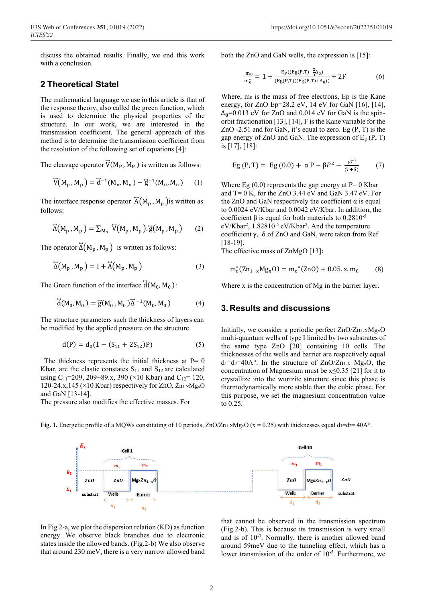discuss the obtained results. Finally, we end this work with a conclusion.

### **2 Theoretical Statel**

The mathematical language we use in this article is that of the response theory, also called the green function, which is used to determine the physical properties of the structure. In our work, we are interested in the transmission coefficient. The general approach of this method is to determine the transmission coefficient from the resolution of the following set of equations [4]:

The cleavage operator  $\overline{V}(M_P, M_P)$  is written as follows:

$$
\overline{V}(M_p, M_p) = \overline{d}^{-1}(M_n, M_n) - \overline{g}^{-1}(M_n, M_n)
$$
 (1)

The interface response operator  $\overrightarrow{A}(M_p, M_p)$  is written as follows:

$$
\widetilde{A}(M_p, M_p) = \sum_{M_s} \widetilde{V}(M_p, M_p) \cdot \widetilde{g}(M_p, M_p)
$$
 (2)

The operator  $\Delta(M_p, M_p)$  is written as follows:

$$
\widetilde{\Delta}(M_p, M_p) = I + \widetilde{A}(M_p, M_p)
$$
\n(3)

The Green function of the interface  $\overline{d}(M_0, M_0)$ :

$$
\vec{d}(M_0, M_0) = \vec{g}(M_0, M_0) \vec{\Delta}^{-1}(M_0, M_0)
$$
 (4)

The structure parameters such the thickness of layers can be modified by the applied pressure on the structure

$$
d(P) = d_0(1 - (S_{11} + 2S_{12})P)
$$
 (5)

The thickness represents the initial thickness at  $P= 0$ Kbar, are the elastic constates  $S_{11}$  and  $S_{12}$  are calculated using C<sub>11</sub>=209, 209+89.x, 390 (×10 Kbar) and C<sub>12</sub>= 120, 120-24.x,145 ( $\times$ 10 Kbar) respectively for ZnO, Zn<sub>1-X</sub>Mg<sub>x</sub>O and GaN [13-14].

The pressure also modifies the effective masses. For

both the ZnO and GaN wells, the expression is [15]:

$$
\frac{m_0}{m_e^*} = 1 + \frac{E_P((Eg(P,T) + \frac{2}{3}\Delta_0)}{(Eg(P,T)((Eg(P,T) + \Delta_0))} + 2F
$$
(6)

Where,  $m_0$  is the mass of free electrons, Ep is the Kane energy, for ZnO Ep=28.2 eV, 14 eV for GaN [16], [14],  $\Delta_0$ =0.013 eV for ZnO and 0.014 eV for GaN is the spinorbit fractionation [13], [14], F is the Kane variable for the ZnO  $-2.51$  and for GaN, it's equal to zero. Eg  $(P, T)$  is the gap energy of ZnO and GaN. The expression of  $E<sub>g</sub>$  (P, T) is [17], [18]:

Eg (P, T) = Eg (0.0) + 
$$
\alpha
$$
 P -  $\beta P^2$  -  $\frac{\gamma T^2}{(T+\delta)}$  (7)

Where Eg  $(0.0)$  represents the gap energy at P= 0 Kbar and  $T= 0$  K, for the ZnO 3.44 eV and GaN 3.47 eV. For the ZnO and GaN respectively the coefficient  $\alpha$  is equal to 0.0024 eV/Kbar and 0.0042 eV/Kbar. In addition, the coefficient β is equal for both materials to  $0.2810^{-5}$ eV/Kbar<sup>2</sup>, 1.82810<sup>-5</sup> eV/Kbar<sup>2</sup>. And the temperature coefficient γ, δ of ZnO and GaN, were taken from Ref [18-19].

The effective mass of ZnMgO [13]**:** 

$$
m_e^*(Zn_{1-x}Mg_xO) = m_e^*(ZnO) + 0.05. x.m_0 \qquad (8)
$$

Where x is the concentration of Mg in the barrier layer.

### **3. Results and discussions**

Initially, we consider a periodic perfect  $ZnO/Zn_1.XMg_xO$ multi-quantum wells of type I limited by two substrates of the same type ZnO [20] containing 10 cells. The thicknesses of the wells and barrier are respectively equal  $d_1 = d_2 = 40A^\circ$ . In the structure of  $ZnO/Zn_{1-X}$  Mg<sub>x</sub>O, the concentration of Magnesium must be x≤0.35 [21] for it to crystallize into the wurtzite structure since this phase is thermodynamically more stable than the cubic phase. For this purpose, we set the magnesium concentration value to 0.25.



**Fig. 1.** Energetic profile of a MQWs constituting of 10 periods,  $ZnO/Zn_1 \times Mg<sub>x</sub>O$  (x = 0.25) with thicknesses equal d<sub>1</sub>=d<sub>2</sub>= 40A°.

In Fig 2-a, we plot the dispersion relation (KD) as function energy. We observe black branches due to electronic states inside the allowed bands. (Fig.2-b) We also observe that around 230 meV, there is a very narrow allowed band



(Fig.2-b). This is because its transmission is very small and is of 10-3 . Normally, there is another allowed band around 59meV due to the tunneling effect, which has a lower transmission of the order of  $10^{-5}$ . Furthermore, we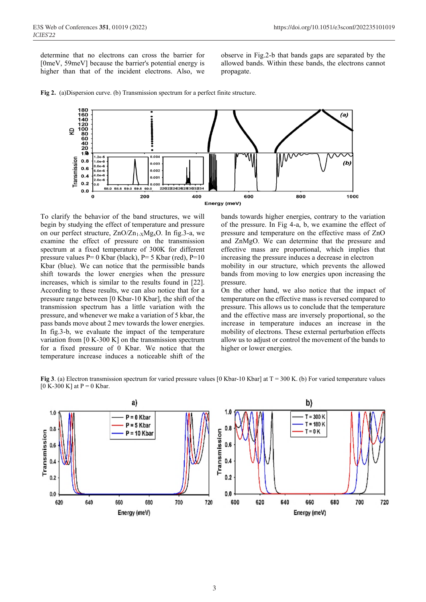determine that no electrons can cross the barrier for [0meV, 59meV] because the barrier's potential energy is higher than that of the incident electrons. Also, we observe in Fig.2-b that bands gaps are separated by the allowed bands. Within these bands, the electrons cannot propagate.



**Fig 2.** (a)Dispersion curve. (b) Transmission spectrum for a perfect finite structure.

To clarify the behavior of the band structures, we will begin by studying the effect of temperature and pressure on our perfect structure,  $ZnO/Zn_{1-X}Mg_{x}O$ . In fig. 3-a, we examine the effect of pressure on the transmission spectrum at a fixed temperature of 300K for different pressure values  $P= 0$  Kbar (black),  $P= 5$  Kbar (red),  $P=10$ Kbar (blue). We can notice that the permissible bands shift towards the lower energies when the pressure increases, which is similar to the results found in [22]. According to these results, we can also notice that for a pressure range between [0 Kbar-10 Kbar], the shift of the transmission spectrum has a little variation with the pressure, and whenever we make a variation of 5 kbar, the pass bands move about 2 mev towards the lower energies. In fig.3-b, we evaluate the impact of the temperature variation from  $[0 K-300 K]$  on the transmission spectrum for a fixed pressure of 0 Kbar. We notice that the temperature increase induces a noticeable shift of the

bands towards higher energies, contrary to the variation of the pressure. In Fig 4-a, b, we examine the effect of pressure and temperature on the effective mass of ZnO and ZnMgO. We can determine that the pressure and effective mass are proportional, which implies that increasing the pressure induces a decrease in electron mobility in our structure, which prevents the allowed bands from moving to low energies upon increasing the pressure.

On the other hand, we also notice that the impact of temperature on the effective mass is reversed compared to pressure. This allows us to conclude that the temperature and the effective mass are inversely proportional, so the increase in temperature induces an increase in the mobility of electrons. These external perturbation effects allow us to adjust or control the movement of the bands to higher or lower energies.

**Fig 3**. (a) Electron transmission spectrum for varied pressure values [0 Kbar-10 Kbar] at T = 300 K. (b) For varied temperature values  $[0 K-300 K]$  at P = 0 Kbar.

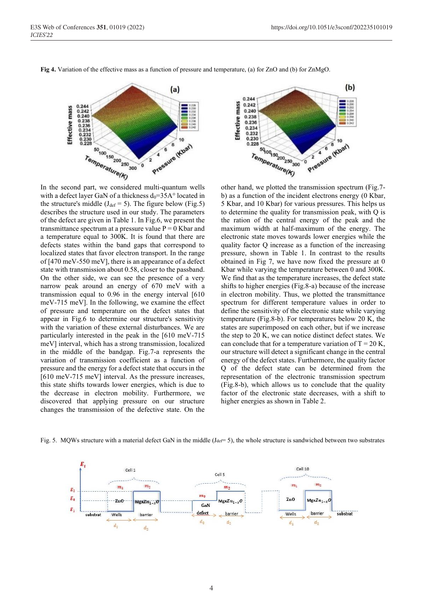In the second part, we considered multi-quantum wells describes the structure used in our study. The parameters state with transmission about 0.58, closer to the passband. narrow peak around an energy of 670 meV with a transmission equal to 0.96 in the energy interval [610 of pressure and temperature on the defect states that appear in Fig.6 to determine our structure's sensitivity particularly interested in the peak in the [610 meV-715

other hand, we plotted the transmission spectrum (Fig.7 b) as a function of the incident electrons energy (0 Kbar, 5 Kbar, and 10 Kbar) for various pressures. This helps us to determine the quality for transmission peak, with Q is the ration of the central energy of the peak and the maximum width at half-maximum of the energy. The electronic state moves towards lower energies while the quality factor Q increase as a function of the increasing pressure, shown in Table 1. In contrast to the results obtained in Fig 7, we have now fixed the pressure at 0 Kbar while varying the temperature between 0 and 300K. We find that as the temperature increases, the defect state shifts to higher energies (Fig.8-a) because of the increase in electron mobility. Thus, we plotted the transmittance spectrum for different temperature values in order to define the sensitivity of the electronic state while varying temperature (Fig.8-b). For temperatures below 20 K, the states are superimposed on each other, but if we increase the step to 20 K, we can notice distinct defect states. We can conclude that for a temperature variation of  $T = 20$  K, our structure will detect a significant change in the central energy of the defect states. Furthermore, the quality factor Q of the defect state can be determined from the representation of the electronic transmission spectrum (Fig.8-b), which allows us to conclude that the quality factor of the electronic state decreases, with a shift to higher energies as shown in Table 2.

 $0.244$ <br> $0.242$ 

 $0.240$ <br> $0.238$ 

0.236<br>0.236<br>0.234<br>0.232

 $0.230$ <br> $0.228$ 

Effective mass



 $(a)$ 

10

 $\widetilde{\mathbf{2}}$ 





Fig. 5. MQWs structure with a material defect GaN in the middle  $(J_{\text{def}}= 5)$ , the whole structure is sandwiched between two substrates

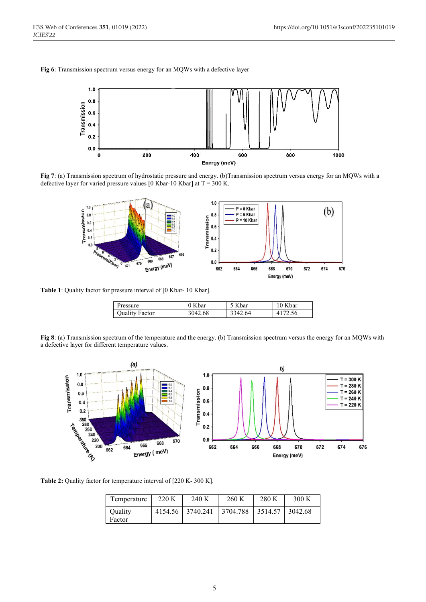**Fig 6**: Transmission spectrum versus energy for an MQWs with a defective layer



**Fig 7**: (a) Transmission spectrum of hydrostatic pressure and energy. (b)Transmission spectrum versus energy for an MQWs with a defective layer for varied pressure values [0 Kbar-10 Kbar] at  $T = 300$  K.



Table 1: Quality factor for pressure interval of [0 Kbar- 10 Kbar].

| Pressure              | 0 Kbar  | 5 Kbar  | 10 Kbar |
|-----------------------|---------|---------|---------|
| <b>Quality Factor</b> | 3042.68 | 3342.64 | 4172.56 |

**Fig 8**: (a) Transmission spectrum of the temperature and the energy. (b) Transmission spectrum versus the energy for an MQWs with a defective layer for different temperature values.



**Table 2:** Quality factor for temperature interval of [220 K- 300 K].

| Temperature | 220 K | 240 K            | 260 K                                            | 280 K | 300 K |
|-------------|-------|------------------|--------------------------------------------------|-------|-------|
| Quality     |       | 4154.56 3740.241 | $\vert$ 3704.788 $\vert$ 3514.57 $\vert$ 3042.68 |       |       |
| Factor      |       |                  |                                                  |       |       |